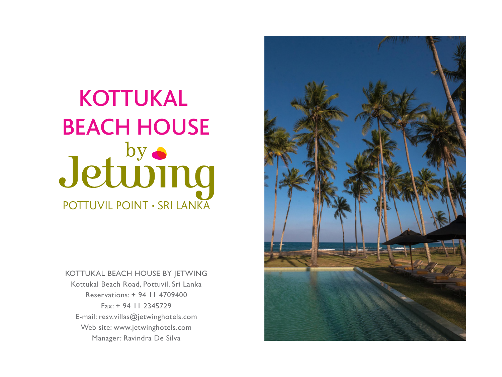# POTTUVIL POINT · SRI LANKA KOTTUKAL BEACH HOUSE<br>Jetuving

KOTTUKAL BEACH HOUSE BY JETWING Kottukal Beach Road, Pottuvil, Sri Lanka Reservations: + 94 11 4709400 Fax: + 94 11 2345729 E-mail: resv.villas@jetwinghotels.com Web site: www.jetwinghotels.com Manager: Ravindra De Silva

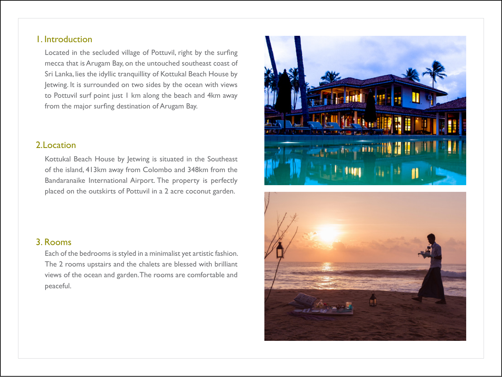# 1. Introduction

 Located in the secluded village of Pottuvil, right by the surfing mecca that is Arugam Bay, on the untouched southeast coast of Sri Lanka, lies the idyllic tranquillity of Kottukal Beach House by Jetwing. It is surrounded on two sides by the ocean with views to Pottuvil surf point just 1 km along the beach and 4km away from the major surfing destination of Arugam Bay.

# 2. Location

 Kottukal Beach House by Jetwing is situated in the Southeast of the island, 413km away from Colombo and 348km from the Bandaranaike International Airport. The property is perfectly placed on the outskirts of Pottuvil in a 2 acre coconut garden.





## 3. Rooms

Each of the bedrooms is styled in a minimalist yet artistic fashion. The 2 rooms upstairs and the chalets are blessed with brilliant views of the ocean and garden. The rooms are comfortable and peaceful.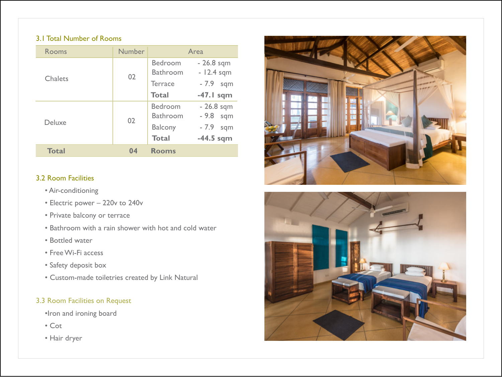#### 3.1 Total Number of Rooms

| Rooms        | <b>Number</b> | Area                       |                              |
|--------------|---------------|----------------------------|------------------------------|
| Chalets      | 02            | Bedroom<br><b>Bathroom</b> | $-26.8$ sqm<br>$-12.4$ sqm   |
|              |               | <b>Terrace</b>             | $-7.9$<br>sqm                |
|              |               | <b>Total</b>               | $-47.1$ sqm                  |
| Deluxe       | 02            | Bedroom<br><b>Bathroom</b> | $-26.8$ sqm<br>$-9.8$<br>sqm |
|              |               | <b>Balcony</b>             | $-7.9$<br>sqm                |
|              |               | <b>Total</b>               | $-44.5$ sqm                  |
| <b>Total</b> | 04            | <b>Rooms</b>               |                              |

## 3.2 Room Facilities

- Air-conditioning
- Electric power 220v to 240v
- Private balcony or terrace
- Bathroom with a rain shower with hot and cold water
- Bottled water
- Free Wi-Fi access
- Safety deposit box
- Custom-made toiletries created by Link Natural

# 3.3 Room Facilities on Request

- •Iron and ironing board
- Cot
- Hair dryer



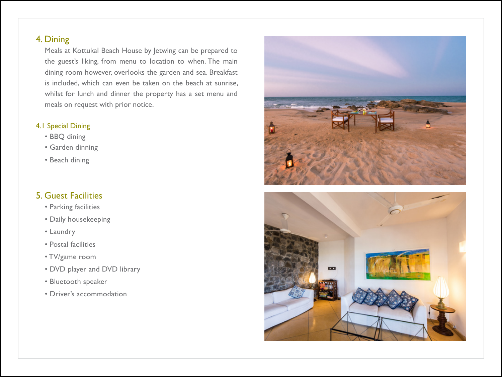# 4. Dining

Meals at Kottukal Beach House by Jetwing can be prepared to the guest's liking, from menu to location to when. The main dining room however, overlooks the garden and sea. Breakfast is included, which can even be taken on the beach at sunrise, whilst for lunch and dinner the property has a set menu and meals on request with prior notice.

#### 4.1 Special Dining

- BBQ dining
- Garden dinning
- Beach dining

# 5. Guest Facilities

- Parking facilities
- Daily housekeeping
- Laundry
- Postal facilities
- TV/game room
- DVD player and DVD library
- Bluetooth speaker
- Driver's accommodation



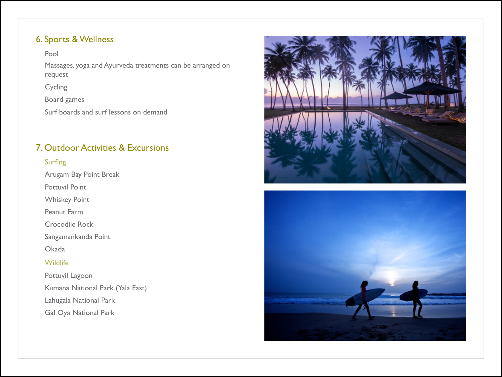# 6. Sports & Wellness

Pool

Massages, yoga and Ayurveda treatments can be arranged on request

Cycling

Board games

Surf boards and surf lessons on demand

# 7. Outdoor Activities & Excursions

#### Surfing

Arugam Bay Point Break

Pottuvil Point

Whiskey Point

Peanut Farm

Crocodile Rock

Sangamankanda Point

Okada

## **Wildlife**

Pottuvil Lagoon Kumana National Park (Yala East) Lahugala National Park Gal Oya National Park



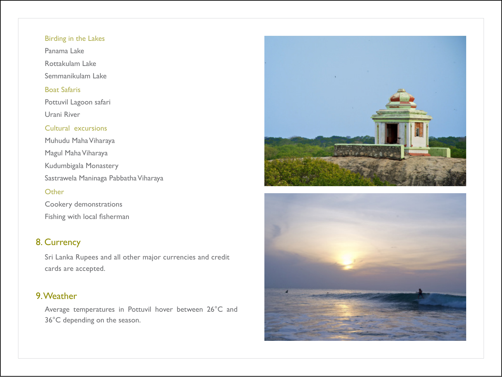#### Birding in the Lakes

Panama Lake

Rottakulam Lake

Semmanikulam Lake

#### Boat Safaris

Pottuvil Lagoon safari Urani River

#### Cultural excursions

Muhudu Maha Viharaya Magul Maha Viharaya Kudumbigala Monastery Sastrawela Maninaga Pabbatha Viharaya

#### **Other**

Cookery demonstrations Fishing with local fisherman

# 8. Currency

Sri Lanka Rupees and all other major currencies and credit cards are accepted.

# 9. Weather

Average temperatures in Pottuvil hover between 26°C and 36°C depending on the season.